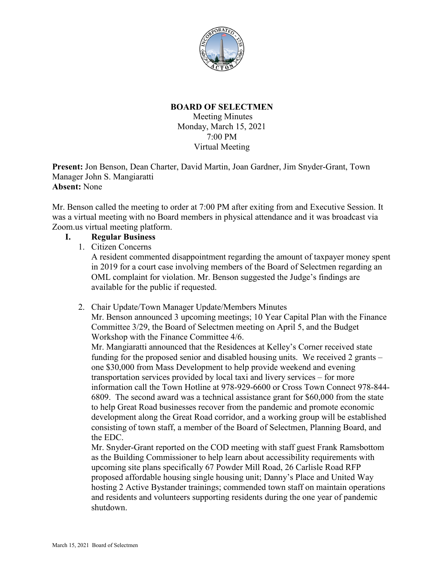

## **BOARD OF SELECTMEN**

Meeting Minutes Monday, March 15, 2021 7:00 PM Virtual Meeting

**Present:** Jon Benson, Dean Charter, David Martin, Joan Gardner, Jim Snyder-Grant, Town Manager John S. Mangiaratti **Absent:** None

Mr. Benson called the meeting to order at 7:00 PM after exiting from and Executive Session. It was a virtual meeting with no Board members in physical attendance and it was broadcast via Zoom.us virtual meeting platform.

## **I. Regular Business**

1. Citizen Concerns

A resident commented disappointment regarding the amount of taxpayer money spent in 2019 for a court case involving members of the Board of Selectmen regarding an OML complaint for violation. Mr. Benson suggested the Judge's findings are available for the public if requested.

#### 2. Chair Update/Town Manager Update/Members Minutes

Mr. Benson announced 3 upcoming meetings; 10 Year Capital Plan with the Finance Committee 3/29, the Board of Selectmen meeting on April 5, and the Budget Workshop with the Finance Committee 4/6.

Mr. Mangiaratti announced that the Residences at Kelley's Corner received state funding for the proposed senior and disabled housing units. We received 2 grants – one \$30,000 from Mass Development to help provide weekend and evening transportation services provided by local taxi and livery services – for more information call the Town Hotline at 978-929-6600 or Cross Town Connect 978-844- 6809. The second award was a technical assistance grant for \$60,000 from the state to help Great Road businesses recover from the pandemic and promote economic development along the Great Road corridor, and a working group will be established consisting of town staff, a member of the Board of Selectmen, Planning Board, and the EDC.

Mr. Snyder-Grant reported on the COD meeting with staff guest Frank Ramsbottom as the Building Commissioner to help learn about accessibility requirements with upcoming site plans specifically 67 Powder Mill Road, 26 Carlisle Road RFP proposed affordable housing single housing unit; Danny's Place and United Way hosting 2 Active Bystander trainings; commended town staff on maintain operations and residents and volunteers supporting residents during the one year of pandemic shutdown.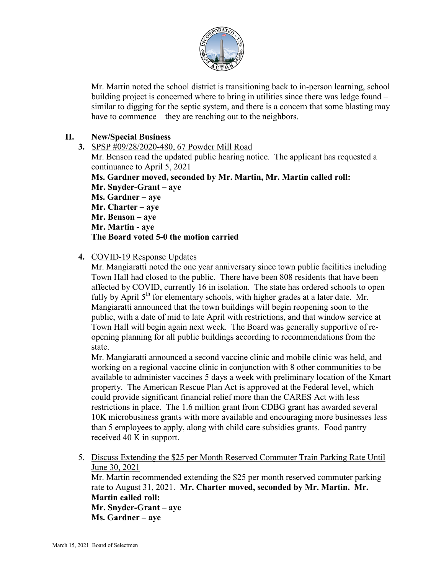

Mr. Martin noted the school district is transitioning back to in-person learning, school building project is concerned where to bring in utilities since there was ledge found – similar to digging for the septic system, and there is a concern that some blasting may have to commence – they are reaching out to the neighbors.

## **II. New/Special Business**

**3.** SPSP #09/28/2020-480, 67 Powder Mill Road

Mr. Benson read the updated public hearing notice. The applicant has requested a continuance to April 5, 2021

**Ms. Gardner moved, seconded by Mr. Martin, Mr. Martin called roll: Mr. Snyder-Grant – aye Ms. Gardner – aye Mr. Charter – aye Mr. Benson – aye Mr. Martin - aye The Board voted 5-0 the motion carried**

## **4.** COVID-19 Response Updates

Mr. Mangiaratti noted the one year anniversary since town public facilities including Town Hall had closed to the public. There have been 808 residents that have been affected by COVID, currently 16 in isolation. The state has ordered schools to open fully by April  $5<sup>th</sup>$  for elementary schools, with higher grades at a later date. Mr. Mangiaratti announced that the town buildings will begin reopening soon to the public, with a date of mid to late April with restrictions, and that window service at Town Hall will begin again next week. The Board was generally supportive of reopening planning for all public buildings according to recommendations from the state.

Mr. Mangiaratti announced a second vaccine clinic and mobile clinic was held, and working on a regional vaccine clinic in conjunction with 8 other communities to be available to administer vaccines 5 days a week with preliminary location of the Kmart property. The American Rescue Plan Act is approved at the Federal level, which could provide significant financial relief more than the CARES Act with less restrictions in place. The 1.6 million grant from CDBG grant has awarded several 10K microbusiness grants with more available and encouraging more businesses less than 5 employees to apply, along with child care subsidies grants. Food pantry received 40 K in support.

5. Discuss Extending the \$25 per Month Reserved Commuter Train Parking Rate Until June 30, 2021

Mr. Martin recommended extending the \$25 per month reserved commuter parking rate to August 31, 2021. **Mr. Charter moved, seconded by Mr. Martin. Mr. Martin called roll: Mr. Snyder-Grant – aye Ms. Gardner – aye**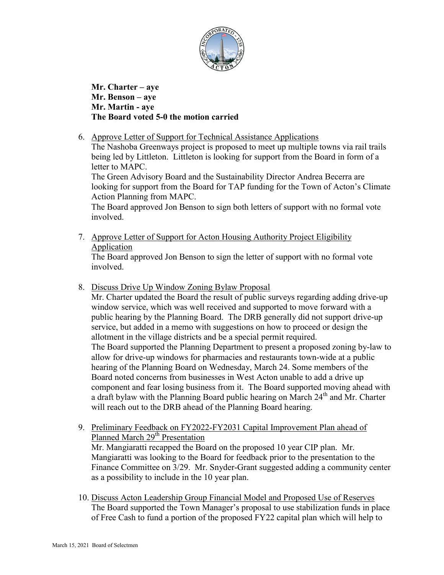

**Mr. Charter – aye Mr. Benson – aye Mr. Martin - aye The Board voted 5-0 the motion carried**

6. Approve Letter of Support for Technical Assistance Applications

The Nashoba Greenways project is proposed to meet up multiple towns via rail trails being led by Littleton. Littleton is looking for support from the Board in form of a letter to MAPC.

The Green Advisory Board and the Sustainability Director Andrea Becerra are looking for support from the Board for TAP funding for the Town of Acton's Climate Action Planning from MAPC.

The Board approved Jon Benson to sign both letters of support with no formal vote involved.

7. Approve Letter of Support for Acton Housing Authority Project Eligibility Application

The Board approved Jon Benson to sign the letter of support with no formal vote involved.

8. Discuss Drive Up Window Zoning Bylaw Proposal

Mr. Charter updated the Board the result of public surveys regarding adding drive-up window service, which was well received and supported to move forward with a public hearing by the Planning Board. The DRB generally did not support drive-up service, but added in a memo with suggestions on how to proceed or design the allotment in the village districts and be a special permit required. The Board supported the Planning Department to present a proposed zoning by-law to allow for drive-up windows for pharmacies and restaurants town-wide at a public hearing of the Planning Board on Wednesday, March 24. Some members of the Board noted concerns from businesses in West Acton unable to add a drive up component and fear losing business from it. The Board supported moving ahead with a draft bylaw with the Planning Board public hearing on March  $24<sup>th</sup>$  and Mr. Charter will reach out to the DRB ahead of the Planning Board hearing.

- 9. Preliminary Feedback on FY2022-FY2031 Capital Improvement Plan ahead of Planned March 29<sup>th</sup> Presentation Mr. Mangiaratti recapped the Board on the proposed 10 year CIP plan. Mr. Mangiaratti was looking to the Board for feedback prior to the presentation to the Finance Committee on 3/29. Mr. Snyder-Grant suggested adding a community center as a possibility to include in the 10 year plan.
- 10. Discuss Acton Leadership Group Financial Model and Proposed Use of Reserves The Board supported the Town Manager's proposal to use stabilization funds in place of Free Cash to fund a portion of the proposed FY22 capital plan which will help to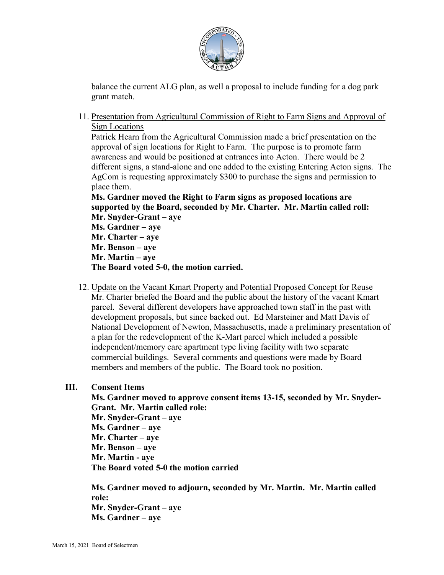

balance the current ALG plan, as well a proposal to include funding for a dog park grant match.

11. Presentation from Agricultural Commission of Right to Farm Signs and Approval of Sign Locations

Patrick Hearn from the Agricultural Commission made a brief presentation on the approval of sign locations for Right to Farm. The purpose is to promote farm awareness and would be positioned at entrances into Acton. There would be 2 different signs, a stand-alone and one added to the existing Entering Acton signs. The AgCom is requesting approximately \$300 to purchase the signs and permission to place them.

**Ms. Gardner moved the Right to Farm signs as proposed locations are supported by the Board, seconded by Mr. Charter. Mr. Martin called roll:**

**Mr. Snyder-Grant – aye Ms. Gardner – aye Mr. Charter – aye Mr. Benson – aye Mr. Martin – aye The Board voted 5-0, the motion carried.**

12. Update on the Vacant Kmart Property and Potential Proposed Concept for Reuse Mr. Charter briefed the Board and the public about the history of the vacant Kmart parcel. Several different developers have approached town staff in the past with development proposals, but since backed out. Ed Marsteiner and Matt Davis of National Development of Newton, Massachusetts, made a preliminary presentation of a plan for the redevelopment of the K-Mart parcel which included a possible independent/memory care apartment type living facility with two separate commercial buildings. Several comments and questions were made by Board members and members of the public. The Board took no position.

## **III. Consent Items**

**Ms. Gardner moved to approve consent items 13-15, seconded by Mr. Snyder-Grant. Mr. Martin called role:**

**Mr. Snyder-Grant – aye Ms. Gardner – aye Mr. Charter – aye Mr. Benson – aye Mr. Martin - aye The Board voted 5-0 the motion carried**

**Ms. Gardner moved to adjourn, seconded by Mr. Martin. Mr. Martin called role: Mr. Snyder-Grant – aye Ms. Gardner – aye**